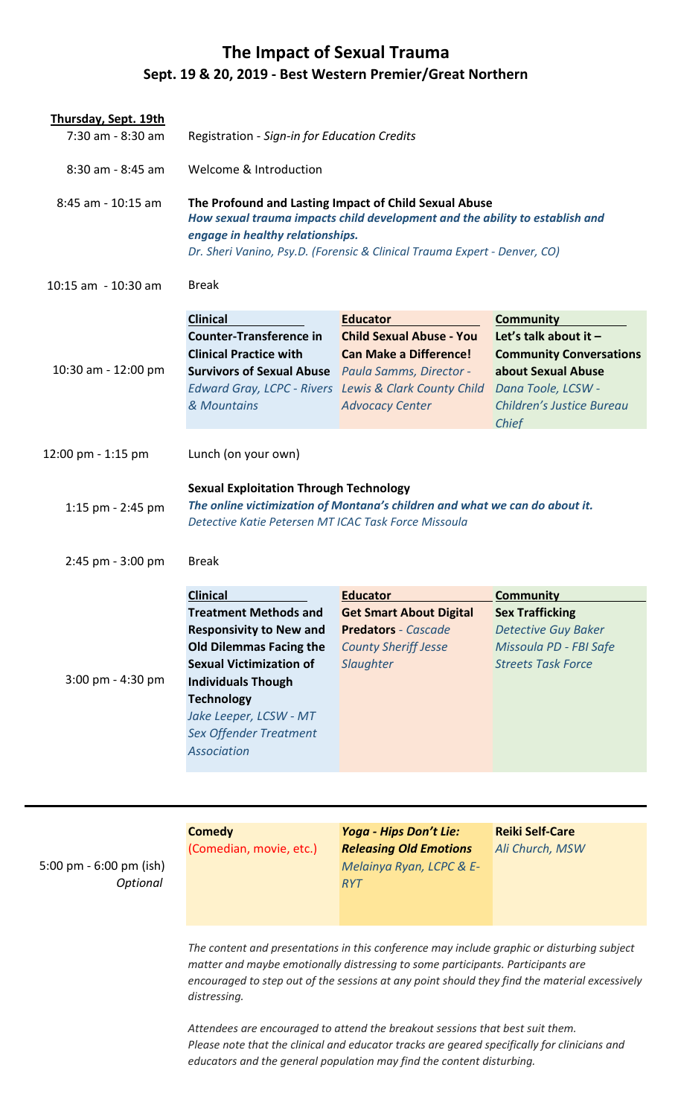## **The Impact of Sexual Trauma Sept. 19 & 20, 2019 - Best Western Premier/Great Northern**

| Welcome & Introduction                                                                                                                                                                                                                                         |                                                                                                          |                                                                                                                                                                                                                                                                                                                                                                                                                                                                                                                                                                                                                                                   |
|----------------------------------------------------------------------------------------------------------------------------------------------------------------------------------------------------------------------------------------------------------------|----------------------------------------------------------------------------------------------------------|---------------------------------------------------------------------------------------------------------------------------------------------------------------------------------------------------------------------------------------------------------------------------------------------------------------------------------------------------------------------------------------------------------------------------------------------------------------------------------------------------------------------------------------------------------------------------------------------------------------------------------------------------|
|                                                                                                                                                                                                                                                                |                                                                                                          |                                                                                                                                                                                                                                                                                                                                                                                                                                                                                                                                                                                                                                                   |
| <b>Break</b>                                                                                                                                                                                                                                                   |                                                                                                          |                                                                                                                                                                                                                                                                                                                                                                                                                                                                                                                                                                                                                                                   |
|                                                                                                                                                                                                                                                                |                                                                                                          | <b>Community</b>                                                                                                                                                                                                                                                                                                                                                                                                                                                                                                                                                                                                                                  |
| <b>Counter-Transference in</b><br><b>Clinical Practice with</b><br>& Mountains                                                                                                                                                                                 | <b>Child Sexual Abuse - You</b><br><b>Can Make a Difference!</b><br><b>Advocacy Center</b>               | Let's talk about it $-$<br><b>Community Conversations</b><br>about Sexual Abuse<br>Dana Toole, LCSW -<br>Children's Justice Bureau<br><b>Chief</b>                                                                                                                                                                                                                                                                                                                                                                                                                                                                                                |
| Lunch (on your own)                                                                                                                                                                                                                                            |                                                                                                          |                                                                                                                                                                                                                                                                                                                                                                                                                                                                                                                                                                                                                                                   |
|                                                                                                                                                                                                                                                                |                                                                                                          |                                                                                                                                                                                                                                                                                                                                                                                                                                                                                                                                                                                                                                                   |
| <b>Break</b>                                                                                                                                                                                                                                                   |                                                                                                          |                                                                                                                                                                                                                                                                                                                                                                                                                                                                                                                                                                                                                                                   |
| <b>Clinical</b>                                                                                                                                                                                                                                                | <b>Educator</b>                                                                                          | <b>Community</b>                                                                                                                                                                                                                                                                                                                                                                                                                                                                                                                                                                                                                                  |
| <b>Treatment Methods and</b><br><b>Responsivity to New and</b><br><b>Old Dilemmas Facing the</b><br><b>Sexual Victimization of</b><br><b>Individuals Though</b><br><b>Technology</b><br>Jake Leeper, LCSW - MT<br>Sex Offender Treatment<br><b>Association</b> | <b>Get Smart About Digital</b><br><b>Predators</b> - Cascade<br><b>County Sheriff Jesse</b><br>Slaughter | <b>Sex Trafficking</b><br><b>Detective Guy Baker</b><br>Missoula PD - FBI Safe<br><b>Streets Task Force</b>                                                                                                                                                                                                                                                                                                                                                                                                                                                                                                                                       |
|                                                                                                                                                                                                                                                                | <b>Clinical</b>                                                                                          | Registration - Sign-in for Education Credits<br>The Profound and Lasting Impact of Child Sexual Abuse<br>How sexual trauma impacts child development and the ability to establish and<br>engage in healthy relationships.<br>Dr. Sheri Vanino, Psy.D. (Forensic & Clinical Trauma Expert - Denver, CO)<br><b>Educator</b><br><b>Survivors of Sexual Abuse</b> Paula Samms, Director -<br><b>Edward Gray, LCPC - Rivers Lewis &amp; Clark County Child</b><br><b>Sexual Exploitation Through Technology</b><br>The online victimization of Montana's children and what we can do about it.<br>Detective Katie Petersen MT ICAC Task Force Missoula |

5:00 pm - 6:00 pm (ish) *Optional*

**Comedy**  (Comedian, movie, etc.)

*Yoga - Hips Don't Lie: Releasing Old Emotions Melainya Ryan, LCPC & E-RYT*

**Reiki Self-Care**  *Ali Church, MSW* 

*The content and presentations in this conference may include graphic or disturbing subject matter and maybe emotionally distressing to some participants. Participants are encouraged to step out of the sessions at any point should they find the material excessively distressing.* 

*Attendees are encouraged to attend the breakout sessions that best suit them. Please note that the clinical and educator tracks are geared specifically for clinicians and educators and the general population may find the content disturbing.*